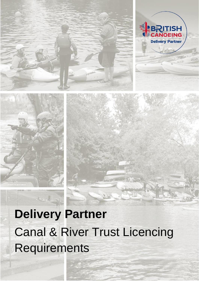

 $\mathcal{L}_{\mathcal{M},\mathcal{L}}$ 





# **Delivery Partner** Canal & River Trust Licencing Requirements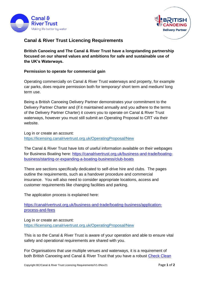



## **Canal & River Trust Licencing Requirements**

**British Canoeing and The Canal & River Trust have a longstanding partnership focused on our shared values and ambitions for safe and sustainable use of the UK's Waterways.**

### **Permission to operate for commercial gain**

Operating commercially on Canal & River Trust waterways and property, for example car parks, does require permission both for temporary/ short term and medium/ long term use.

Being a British Canoeing Delivery Partner demonstrates your commitment to the Delivery Partner Charter and (if it maintained annually and you adhere to the terms of the Delivery Partner Charter) it covers you to operate on Canal & River Trust waterways, however you must still submit an Operating Proposal to CRT via their website.

Log in or create an account: [https://licensing.canalrivertrust.org.uk/OperatingProposal/New](https://gbr01.safelinks.protection.outlook.com/?url=https%3A%2F%2Flicensing.canalrivertrust.org.uk%2FOperatingProposal%2FNew&data=02%7C01%7Cvictoria.ensbey%40canalrivertrust.org.uk%7C25c37413af5f40523e4208d86ea93443%7C260db9039fba44d29d2654bed22e06b9%7C0%7C0%7C637381021313850807&sdata=%2FwLQtMsThNadvoUHYCt10bO7D1QINwGVFCUkancHaa8%3D&reserved=0)

The Canal & River Trust have lots of useful information available on their webpages for Business Boating here: [https://canalrivertrust.org.uk/business-and-trade/boating](https://canalrivertrust.org.uk/business-and-trade/boating-business/starting-or-expanding-a-boating-business/club-boats)[business/starting-or-expanding-a-boating-business/club-boats](https://canalrivertrust.org.uk/business-and-trade/boating-business/starting-or-expanding-a-boating-business/club-boats)

There are sections specifically dedicated to self-drive hire and clubs. The pages outline the requirements, such as a handover procedure and commercial insurance. You will also need to consider appropriate locations, access and customer requirements like changing facilities and parking.

The application process is explained here:

[https://canalrivertrust.org.uk/business-and-trade/boating-business/application](https://canalrivertrust.org.uk/business-and-trade/boating-business/application-process-and-fees)[process-and-fees](https://canalrivertrust.org.uk/business-and-trade/boating-business/application-process-and-fees)

Log in or create an account: [https://licensing.canalrivertrust.org.uk/OperatingProposal/New](https://gbr01.safelinks.protection.outlook.com/?url=https%3A%2F%2Flicensing.canalrivertrust.org.uk%2FOperatingProposal%2FNew&data=02%7C01%7Cvictoria.ensbey%40canalrivertrust.org.uk%7C25c37413af5f40523e4208d86ea93443%7C260db9039fba44d29d2654bed22e06b9%7C0%7C0%7C637381021313850807&sdata=%2FwLQtMsThNadvoUHYCt10bO7D1QINwGVFCUkancHaa8%3D&reserved=0)

This is so the Canal & River Trust is aware of your operation and able to ensure vital safety and operational requirements are shared with you.

For Organisations that use multiple venues and waterways, it is a requirement of both British Canoeing and Canal & River Trust that you have a robust [Check Clean](https://gopaddling.info/wp-content/uploads/2021/11/Canoeing_poster-3.pdf)